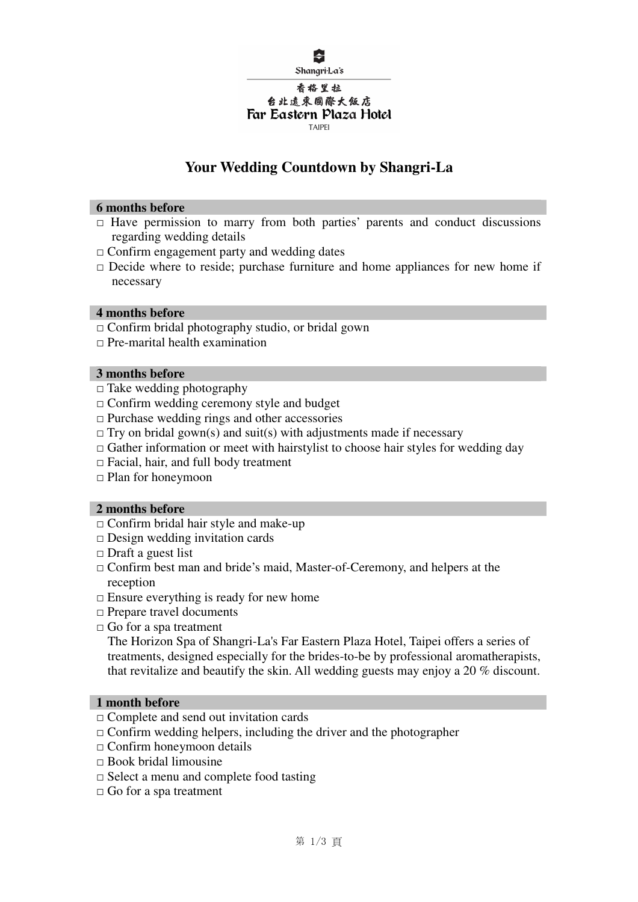

#### 香格里拉 台北遠東國際大飯店 Far Eastern Plaza Hotel **TAIPEL**

# **Your Wedding Countdown by Shangri-La**

#### **6 months before**

- $\Box$  Have permission to marry from both parties' parents and conduct discussions regarding wedding details
- $\Box$  Confirm engagement party and wedding dates
- $\Box$  Decide where to reside; purchase furniture and home appliances for new home if necessary

#### **4 months before**

- $\Box$  Confirm bridal photography studio, or bridal gown
- $\Box$  Pre-marital health examination

#### **3 months before**

- $\Box$  Take wedding photography
- $\Box$  Confirm wedding ceremony style and budget
- $\Box$  Purchase wedding rings and other accessories
- $\Box$  Try on bridal gown(s) and suit(s) with adjustments made if necessary
- $\Box$  Gather information or meet with hairstylist to choose hair styles for wedding day
- $\Box$  Facial, hair, and full body treatment
- $\Box$  Plan for honeymoon

## **2 months before**

- $\Box$  Confirm bridal hair style and make-up
- $\Box$  Design wedding invitation cards
- $\Box$  Draft a guest list
- Confirm best man and bride's maid, Master-of-Ceremony, and helpers at the reception
- $\Box$  Ensure everything is ready for new home
- $\Box$  Prepare travel documents
- $\Box$  Go for a spa treatment

The Horizon Spa of Shangri-La's Far Eastern Plaza Hotel, Taipei offers a series of treatments, designed especially for the brides-to-be by professional aromatherapists, that revitalize and beautify the skin. All wedding guests may enjoy a 20 % discount.

## **1 month before**

- Complete and send out invitation cards
- $\Box$  Confirm wedding helpers, including the driver and the photographer
- $\Box$  Confirm honeymoon details
- $\Box$  Book bridal limousine
- $\Box$  Select a menu and complete food tasting
- $\Box$  Go for a spa treatment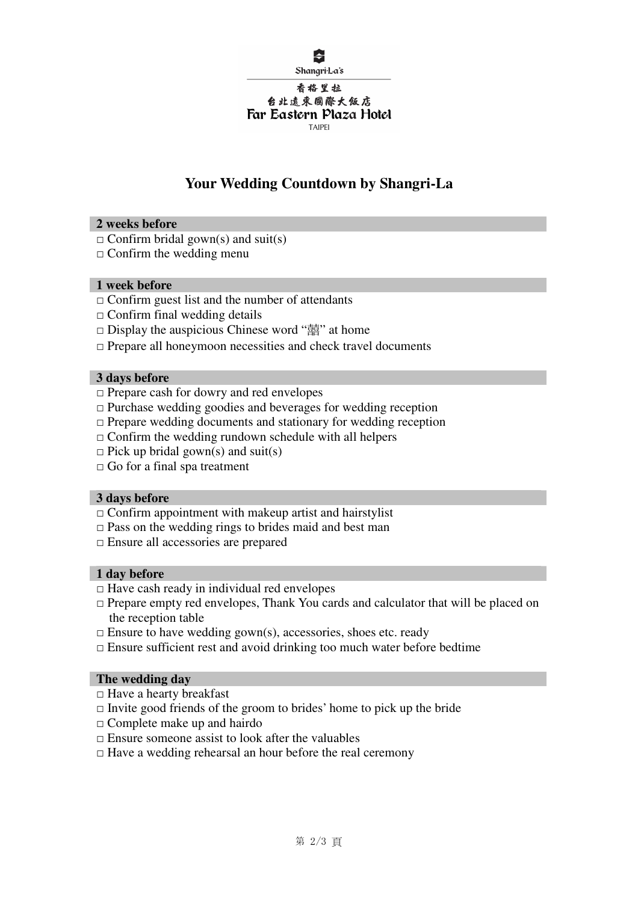

#### Shangri-La's

#### 香格里拉 台北遠東國際大飯店 Far Eastern Plaza Hotel **TAIPEL**

# **Your Wedding Countdown by Shangri-La**

## **2 weeks before**

- $\Box$  Confirm bridal gown(s) and suit(s)
- $\Box$  Confirm the wedding menu

## **1 week before**

- $\Box$  Confirm guest list and the number of attendants
- $\Box$  Confirm final wedding details
- $\Box$  Display the auspicious Chinese word " $\ddot{\Xi}$ " at home
- $\Box$  Prepare all honeymoon necessities and check travel documents

## **3 days before**

- $\Box$  Prepare cash for dowry and red envelopes
- $\Box$  Purchase wedding goodies and beverages for wedding reception
- $\Box$  Prepare wedding documents and stationary for wedding reception
- $\Box$  Confirm the wedding rundown schedule with all helpers
- $\Box$  Pick up bridal gown(s) and suit(s)
- $\Box$  Go for a final spa treatment

## **3 days before**

- $\Box$  Confirm appointment with makeup artist and hairstylist
- $\Box$  Pass on the wedding rings to brides maid and best man
- Ensure all accessories are prepared

## **1 day before**

- $\Box$  Have cash ready in individual red envelopes
- $\Box$  Prepare empty red envelopes, Thank You cards and calculator that will be placed on the reception table
- $\Box$  Ensure to have wedding gown(s), accessories, shoes etc. ready
- $\Box$  Ensure sufficient rest and avoid drinking too much water before bedtime

## **The wedding day**

- $\Box$  Have a hearty breakfast
- $\Box$  Invite good friends of the groom to brides' home to pick up the bride
- $\Box$  Complete make up and hairdo
- $\Box$  Ensure someone assist to look after the valuables
- $\Box$  Have a wedding rehearsal an hour before the real ceremony